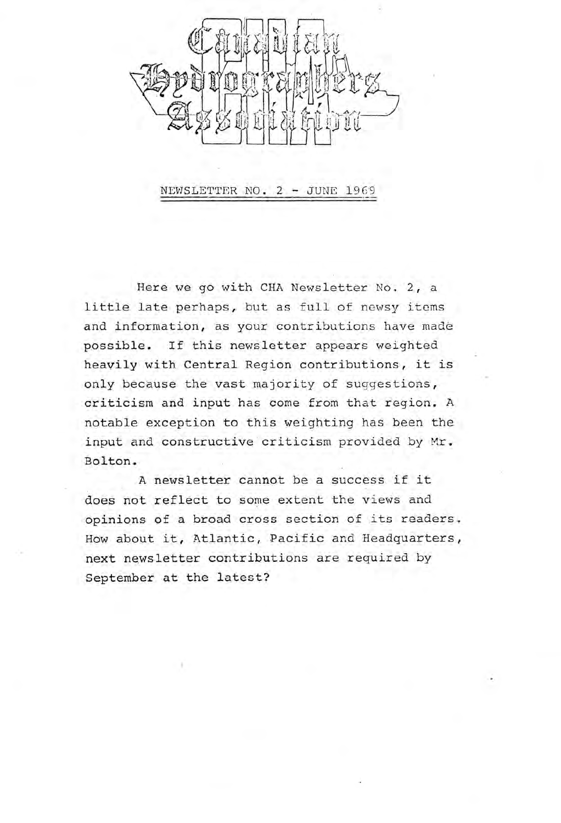

NEWSLETTER NO. 2 - JUNE 1969

Here we go with CHA Newsletter No. 2, a little late perhaps, but as full of newsy items and information, as your contributions have made possible. If this newsletter appears weighted heavily with Central Region contributions, it is only because the vast majority of suggestions, criticism and input has come from that region. A notable exception to this weighting has been the input and constructive criticism provided by Mr. Bolton.

A newsletter cannot be a success if it does not reflect to some extent the views and opinions of a broad cross section of its readers. How about it, Atlantic, Pacific and Headquarters, next newsletter contributions are required by September at the latest?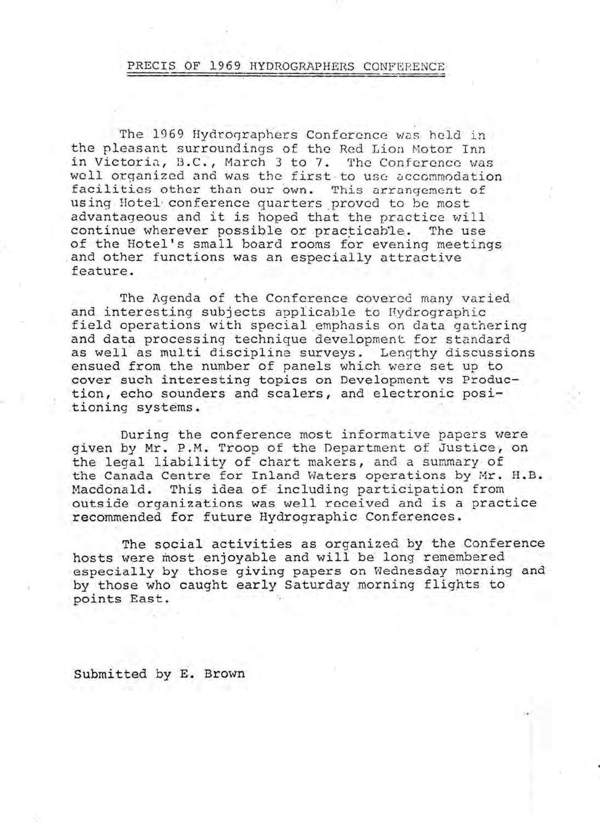#### PRECIS OF 1969 HYDROGRAPHERS CONFERENCE

The 1969 Hydrographers Conference was held in the pleasant surroundings of the Red Lion Motor Inn in Victoria, B.C., March 3 to 7. The Conference was well organized and was the first to use accommodation facilities other than our own. This arrangement of using Hotel· conference quarters \_proved to *be* most advantageous and it is hoped that the practice will<br>continue wherever possible or practicable. The use continue wherever possible or practicable. of the Hotel's small board rooms for evening meetings and other functions was an especially attractive feature.

The Agenda of the Conference covered many varied and interesting subjects applicable to Hydrographic field operations with special emphasis on data gathering and data processing technique development for standard as well as multi discipline surveys. Lengthy discussions ensued from the number of panels which were set up to cover such interesting topics on Development vs Production, echo sounders and scalers, and electronic posi- .tioning systems.

During the conference mosf informative papers were given by Mr. P.M. Troop of the Department of Justice, on the legal liability of chart makers, and a summary of the Canada Centre for Inland Waters operations by Mr. H.B. Macdonald. This idea of including participation from outside organizations was well received and is a practice recommended for future Hydrographic Conferences.

The social activities as organized by the Conference hosts were most enjoyable and will be long remembered especially by those giving papers on Wednesday morning and by those who caught early Saturday morning flights to points East.

Submitted by E. Brown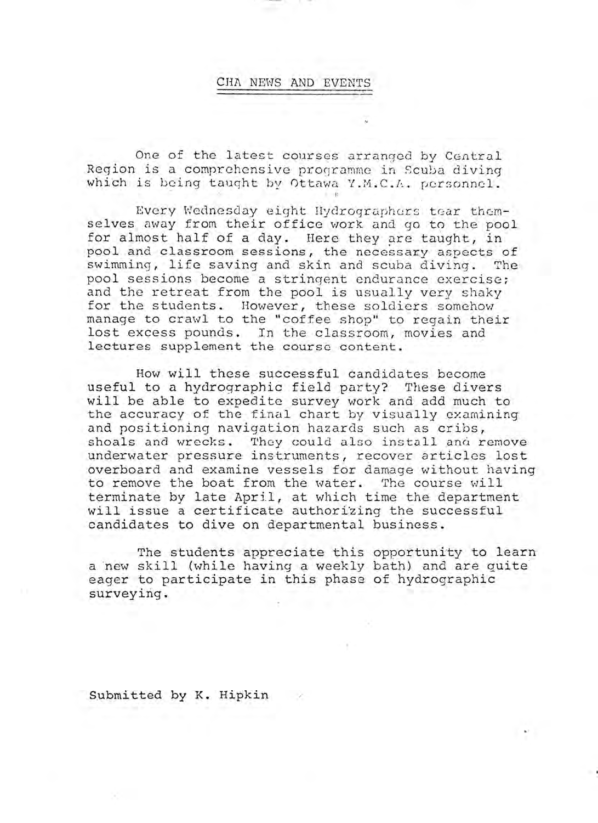#### CHA NEWS AND EVENTS

One of the latest courses arranged by Central Region is a comprehensive programme in Scuba diving which is being taught by Ottawa Y.M.C.A. personnel.

Every Wednesday eight Hydrographers tear themselves away from their office work and go to the pool for almost half of a day. Here they are taught, in pool and classroom sessions, the necessary aspects of<br>swimming, life saving and skin and scuba diving. The swimming, life saving and skin and scuba diving. pool sessions become a stringent endurance exercise; and the retreat from the pool is usually very shaky for the students. However, these soldiers somehow manage to crawl to the "coffee shop" to regain their lost excess pounds. In the classroom, movies and lectures supplement the course content.

How will these successful candidates become useful to a hydrographic field party? These divers will be able to expedite survey work and add much to the accuracy of the final chart by visually examining and positioning navigation hazards such as cribs, shoals and wrecks. They could also install and remove underwater pressure instruments, recover articles lost overboard and examine vessels for damage without having to remove the boat from the water. The course will terminate by late April, at which time the department will issue a certificate authorizing the successful candidates to dive on departmental business.

The students appreciate this opportunity to learn a new skill (while having a weekly bath) and are quite eager to participate in this phase of hydrographic surveying.

Submitted by K. Hipkin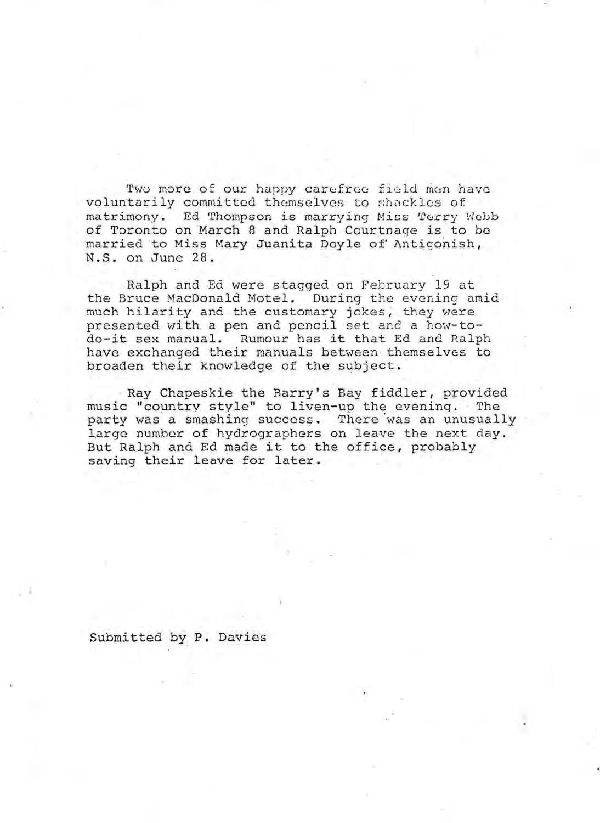Two more of our happy carefree field men have voluntarily committed themselves to shackles of matrimony. Ed Thompson is marrying Miss Terry Webb of Toronto on March 8 and Ralph Courtnage is to be married to Miss Mary Juanita Doyle of Antigonish, N.S. on June 28.

Ralph and Ed were stagged on February 19 at the Bruce MacDonald Motel. During the evening amid much hilarity and the customary jokes, they were mash hitativy and one subcomary jones, endy were do-it sex manual. Rumour has it that Ed and Ralph have exchanged their manuals between themselves to broaden their knowledge of the subject.

Ray Chapeskie the Barry's Bay fiddler, provided music "country style" to liven-up the evening. The party was a smashing success. There 'was an unusually large number of hydrographers on leave the next day. But Ralph and Ed made it to the office, probably saving their leave for later.

submitted by P. Davies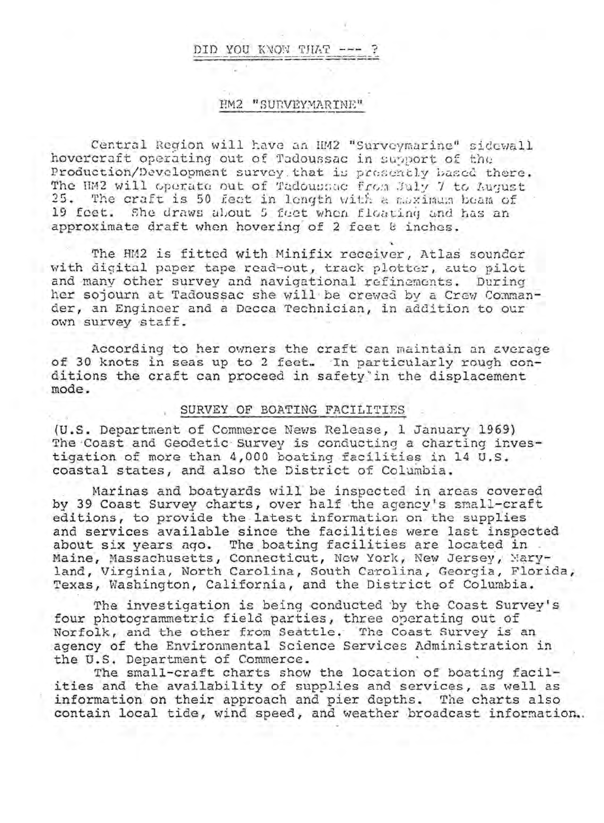#### DID YOU KNOW THAT

#### HM2 "SURVEYMARINE"

Central Region will have an HM2 "Surveymarine" sidewall hovercraft operating out of Tadoussac in subport of the Production/Development survey that is presently based there. The HM2 will operate out of Tadoussac from July 7 to August 25. The craft is 50 feet in length with a moximum beam of 19 feet. She draws about 5 feet when fleating and has an approximate draft when hovering of 2 feet 8 inches.

The HM2 is fitted with Minifix receiver, Atlas sounder with digital paper tape read-out, track plotter, auto pilot and many other survey and navigational refinements. During her sojourn at Tadoussac she will be crewed by a Crew Commander, an Engineer and a Decca Technician, in addition to our own survey staff.

According to her owners the craft can maintain an average of 30 knots in seas up to 2 feet. In particularly rough conditions the craft can proceed in safety'in the displacement mode.

#### SURVEY OF BOATING FACILITIES

(U.S. Department of Commerce News Release, 1 January 1969) The Coast and Geodetic Survey is conducting a charting investigation of more than 4,000 boating facilities in 14 U.S. coastal states, and also the District of Columbia.

Marinas and boatyards will be inspected in areas covered by 39 Coast Survey charts, over half the agency's small-craft editions, to provide the latest information on the supplies and services available since the facilities were last inspected about six years ago. The boating facilities are located in Maine, Massachusetts, Connecticut, New York, New Jersey, Naryland, Virginia, North Carolina, South Carolina, Georgia, Florida, Texas, Washington, California, and the District of Columbia.

The investigation is being conducted by the Coast Survey's four photogrammetric field parties, three operating out of Norfolk, and the other from Seattle. The Coast Survey is an agency of the Environmental Science Services Administration in the U.S. Department of Commerce.

The small-craft charts show the location of boating facilities and the availability of supplies and services, as well as information on their approach and pier depths. The charts also contain local tide, wind speed, and weather broadcast information.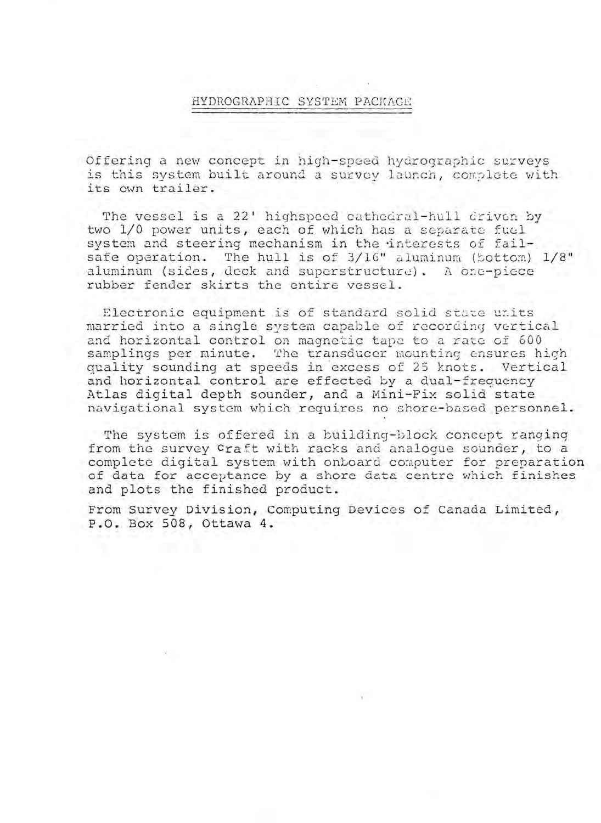### HYDROGRAPHIC SYSTEM PACKAGE

Offering a new concept in high-speed hydrographic surveys is this system built around a survey launch, complete with its own trailer.

The vessel is a 22' highspeed cathedral-hull driven by two 1/0 power units, each of which has a separate fuel system and steering mechanism in the interests of failsafe operation. The hull is of 3/16" aluminum (bottom) 1/8" aluminum (sides, deck and superstructure). A one-piece rubber fender skirts the entire vessel.

Electronic equipment is of standard solid state units married into a single system capable of recording vertical and horizontal control on magnetic tape to a rate of 600 samplings per minute. The transducer mounting ensures high quality sounding at speeds in excess of 25 knots. Vertical and horizontal control are effected by a dual-frequency Atlas digital depth sounder, and a Mini-Fix solid state navigational system which requires no shore-based personnel.

The system is offered in a building-block concept ranginq from the survey Craft with racks and analogue sounder, to a complete digital system with onboard computer for preparation of data for acceptance by a shore data centre which finishes and plots the finished product.

From Survey Division, Computing Devices of Canada Limited, P.O. Box 508, Ottawa 4.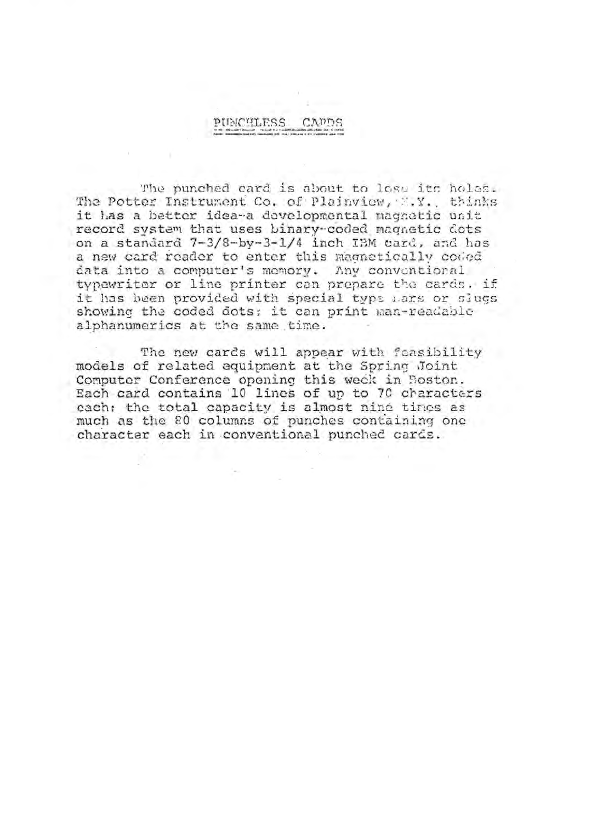### PUMCHLESS

The punched card is about to lose its holes. The Potter Instrument Co. of Plainview, X.Y., thinks it has a better idea-a developmental magnetic unit record system that uses binary-coded magnetic dots on a standard 7-3/8-by-3-1/4 inch IBM card, and has a new card reader to enter this magnetically coded data into a computer's memory. Any conventional typewriter or line printer can prepare the cards. if it has been provided with special typs Lars or slugs showing the coded dots: it can print man-readable alphanumerics at the same time.

The new cards will appear with feasibility models of related equipment at the Spring Joint Computer Conference opening this week in Boston. Each card contains 10 lines of up to 70 characters each; the total capacity is almost nine times as much as the 80 columns of punches containing one character each in conventional punched cards.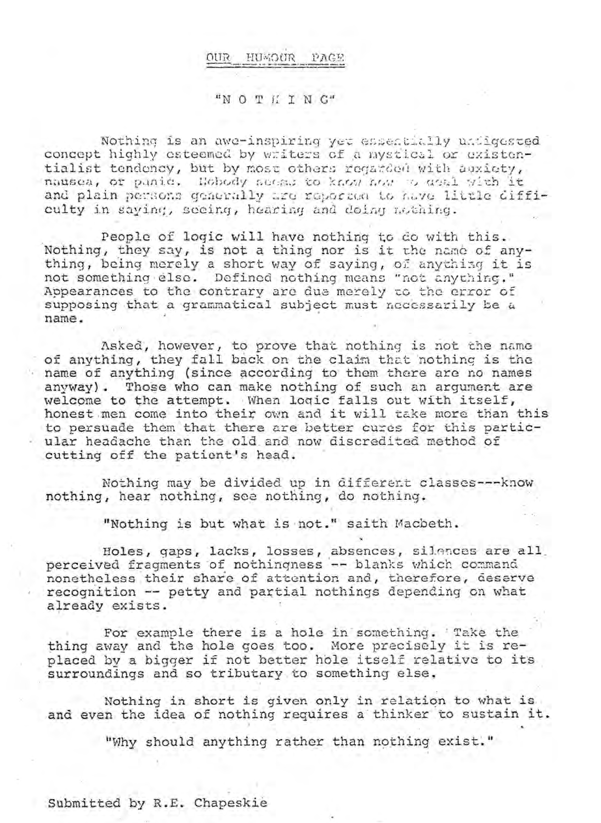#### **GIIO** HUMOUR PAGE

#### "NOTHTNG"

Nothing is an awe-inspiring yet essentially undigested concept highly esteemed by writers of a mystical or existentialist tendency, but by most others regarded with auxiety, nausea, or panic. Hobody seess to know how o deal with it and plain persons generally are reported to have little difficulty in saying, secing, hearing and doing nothing.

People of logic will have nothing to do with this. Nothing, they say, is not a thing nor is it the name of anything, being merely a short way of saying, of anything it is not something else. Defined nothing means "not anything." Appearances to the contrary are due merely to the error of supposing that a grammatical subject must necessarily be a name.

Asked, however, to prove that nothing is not the name<br>of anything, they fall back on the claim that nothing is the name of anything (since according to them there are no names anyway). Those who can make nothing of such an argument are welcome to the attempt. When logic falls out with itself, honest men come into their own and it will take more than this to persuade them that there are better cures for this partic-- ular headache than the old and now discredited method of cutting off the patient's head.

Nothing may be divided up in different classes --- know nothing, hear nothing, see nothing, do nothing.

"Nothing is but what is not." saith Macbeth.

Holes, gaps, lacks, losses, absences, silences are all. perceived fragments of nothingness -- blanks which command nonetheless their share of attention and, therefore, deserve recognition -- petty and partial nothings depending on what already exists.

For example there is a hole in something. Take the thing away and the hole goes too. More precisely it is replaced by a bigger if not better hole itself relative to its surroundings and so tributary to something else.

Nothing in short is given only in relation to what is and even the idea of nothing requires a thinker to sustain it.

"Why should anything rather than nothing exist."

Submitted by R.E. Chapeskie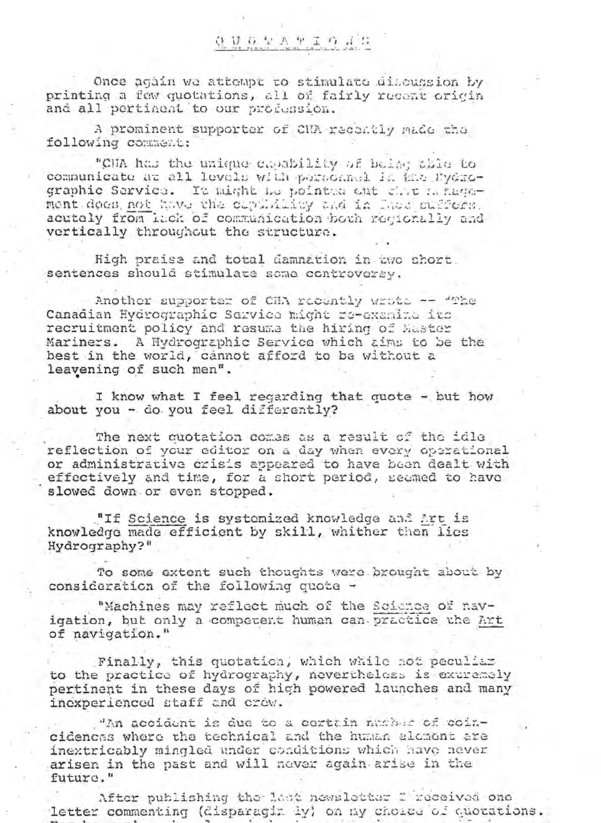## **OUGEATIONS**

Once again we attempt to stimulate discussion by printing a few quotations, all of fairly recent origin and all pertinent to our profession.

A prominent supporter of CHA recontly made the following comment:

"CMA has the unique capability of being this to communicate at all levels with personnel is the Pydrographic Sarvica. It might be pointed out circ manusment does not have the copulativy and in lass suffers. acutely from inch of communication bowh regionally and vertically throughout the structure.

High praise and total damnation in two short sentences should stimulate some controversy.

Another supporter of CHA recently wrote -- "The Canadian Hydrographic Service might re-examine its recruitment policy and resume the hiring of Master Mariners. A Hydrographic Service which aims to be the best in the world, cannot afford to be without a leavening of such men".

I know what I feel regarding that quote - but how about you - do you feel differently?

The next cuotation comes as a result of the idle reflection of your editor on a day when every operational or administrative crisis appeared to have been dealt with effectively and time, for a short period, seemed to have slowed down or even stopped.

"If Science is systemized knowledge and Art is knowledge made efficient by skill, whither then lies Hydrography?"

To some extent such thoughts were brought about by consideration of the following quote -

"Machines may reflect much of the Soicnee of navigation, but only a competent human can practice the Art of navigation."

Finally, this quotation, which while not peculiar to the practice of hydrography, nevertheless is extremely pertinent in these days of high powered launches and many inexperienced staff and crew.

"An accident is due to a certain number of coincidences where the technical and the human element are inextricably mingled under conditions which have never arisen in the past and will never again arise in the future."

After publishing the last newsletter I received one letter commenting (disparagin ly) on my choice of quotations.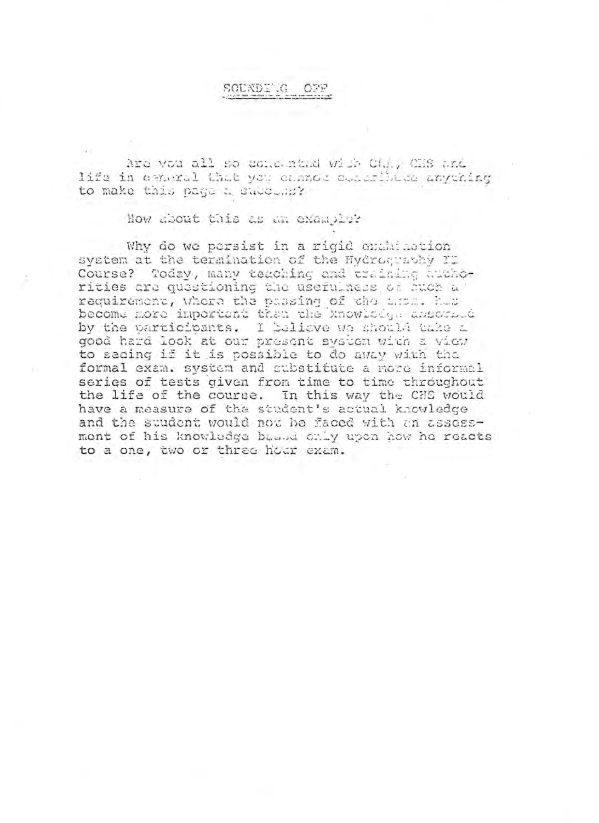#### SCUNDE G  $\bigcap$

Are would all so come stad with Cha, CHS and life in easteral that you enance conditions anything to make this page a success?

How about this as an exampler

Why do we persist in a rigid enthinotion system at the termination of the Hydrography II Course? Today, many teaching and training huthorities are questioning the usefulness of auch a requirement, Where the passing of the ama. has become nore important than the knowledge assessed by the participants. I believe we should take a good hard look at our present system with a view to secing if it is possible to do away with the formal exam. system and substitute a more informal series of tests given from time to time throughout the life of the course. In this way the CHS would have a measure of the student's actual knowledge and the student would not he faced with an assessment of his knowledge bused only upon how he reacts to a one, two or three hour exam.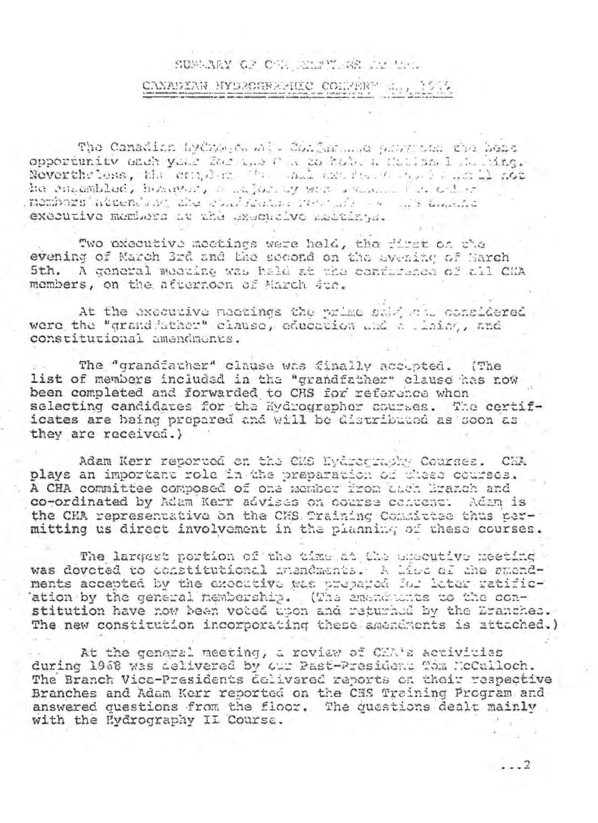### SUMMARY OF CAR PEAR THE LILL

## CANADIAN HYDROGRAPHIC COMPERT 44, 1539

The Canadian byChongen with Confusion for the Confederation opportunity and your for the fact to hole a failed to I deling. Nevertheless, the criticism the said and reached the hand sot be consembled, homeway, a salar of war comment of the bid of membors'attentant the confidence recommended to any temporal executive members at the executive Audrinys.

Two oxecutive meetings were held, the first on the evening of March 3rd and the second on the evening of Sarch 5th. A general meeting was hald at the confurence of all CHA members, on the afternoon of March due.

At the executive meetings the prime sale all considered were the "grand ather" clause, education and a lining, and constitutional amendments.

The "grandfather" clause was finally accepted. (The list of members included in the "grandfather" clause has now been completed and forwarded to CHS for reference whon selecting candidates for the Hydrographer courses. The certificates are baing prepared and will be distributed as soon as they are received.)

Adam Kerr reported on the CHS Hydrography Courses. CHA plays an important role in the preparation of these courses. A CHA committee composed of one member from then Branch and co-ordinated by Adam Kerr advises on course content: Adam is the CHA representative on the CHS Training Committee thus permitting us direct involvement in the planning of these courses.

The largest portion of the time at the uncentive meeting was dovoted to constitutional imandments. A live of the smondments accepted by the executive was prepared for later ratification by the general membership. (The emendation to the constitution have now been voted upon and returned by the Branches. The new constitution incorporating these amendments is attached.)

At the general meeting, a review of CEA's activities during 1968 was delivered by our Past-President Tom McCalloch. The Branch Vice-Presidents delivared reports on their respective Branches and Adam Kerr reported on the CES Training Program and answered questions from the floor. The questions dealt mainly with the Eydrography II Course.

 $... 2$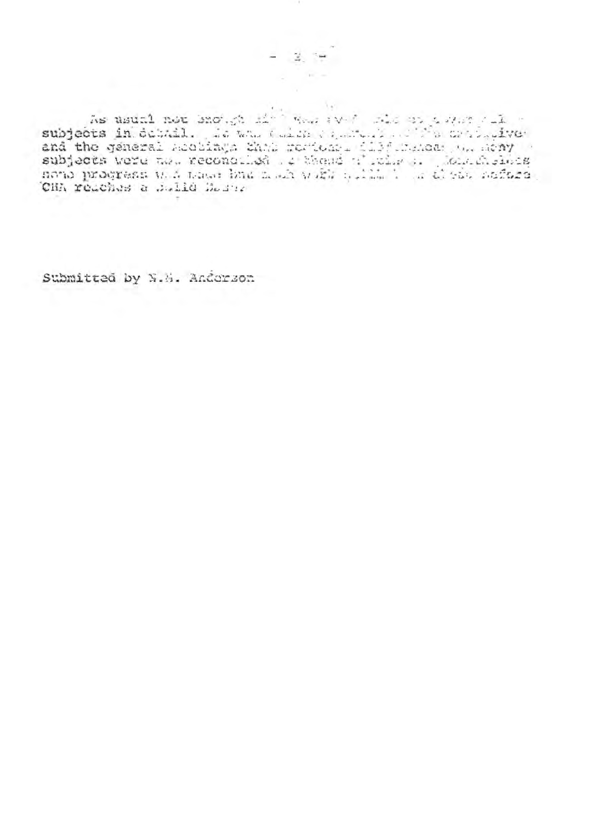As usual not snow it was aver sign as a man collection of the same state of the state of the continuation of the continuation of the continuation of the continuation of the continuation of the state of the state of the sta CHA reaches a Sulle Houng

 $\mathbb{Z}$ 

Submitted by N.H. Anderson